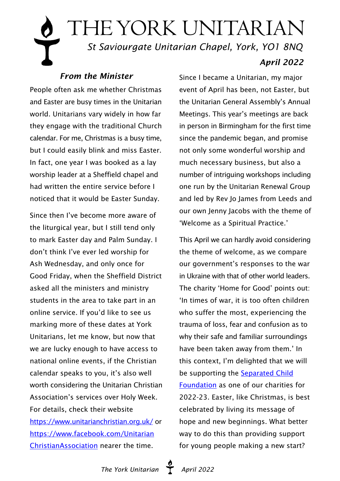# THE YORK UNITARIAN  *St Saviourgate Unitarian Chapel, York, YO1 8NQ April 2022*

### *From the Minister*

People often ask me whether Christmas and Easter are busy times in the Unitarian world. Unitarians vary widely in how far they engage with the traditional Church calendar. For me, Christmas is a busy time, but I could easily blink and miss Easter. In fact, one year I was booked as a lay worship leader at a Sheffield chapel and had written the entire service before I noticed that it would be Easter Sunday.

Since then I've become more aware of the liturgical year, but I still tend only to mark Easter day and Palm Sunday. I don't think I've ever led worship for Ash Wednesday, and only once for Good Friday, when the Sheffield District asked all the ministers and ministry students in the area to take part in an online service. If you'd like to see us marking more of these dates at York Unitarians, let me know, but now that we are lucky enough to have access to national online events, if the Christian calendar speaks to you, it's also well worth considering the Unitarian Christian Association's services over Holy Week. For details, check their website <https://www.unitarianchristian.org.uk/>or [https://www.facebook.com/Unitarian](https://www.facebook.com/UnitarianChristianAssociation ) [ChristianAssociation](https://www.facebook.com/UnitarianChristianAssociation ) nearer the time.

Since I became a Unitarian, my major event of April has been, not Easter, but the Unitarian General Assembly's Annual Meetings. This year's meetings are back in person in Birmingham for the first time since the pandemic began, and promise not only some wonderful worship and much necessary business, but also a number of intriguing workshops including one run by the Unitarian Renewal Group and led by Rev Jo James from Leeds and our own Jenny Jacobs with the theme of 'Welcome as a Spiritual Practice.'

This April we can hardly avoid considering the theme of welcome, as we compare our government's responses to the war in Ukraine with that of other world leaders. The charity 'Home for Good' points out: 'In times of war, it is too often children who suffer the most, experiencing the trauma of loss, fear and confusion as to why their safe and familiar surroundings have been taken away from them.' In this context, I'm delighted that we will be supporting the [Separated Child](https://separatedchild.org/) [Foundation](https://separatedchild.org/) as one of our charities for 2022-23. Easter, like Christmas, is best celebrated by living its message of hope and new beginnings. What better way to do this than providing support for young people making a new start?

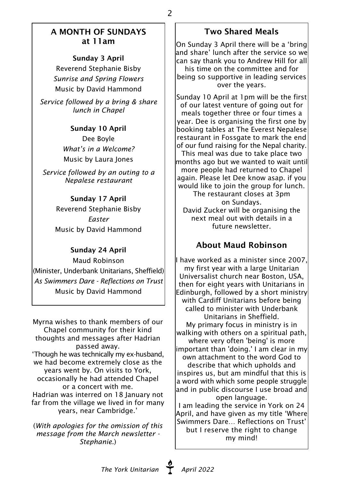#### A MONTH OF SUNDAYS at 11am

2

Sunday 3 April

Reverend Stephanie Bisby *Sunrise and Spring Flowers* Music by David Hammond

*Service followed by a bring & share lunch in Chapel*

#### Sunday 10 April

Dee Boyle *What's in a Welcome?* Music by Laura Jones

*Service followed by an outing to a Nepalese restaurant*

#### Sunday 17 April

Reverend Stephanie Bisby *Easter* Music by David Hammond

#### Sunday 24 April

Maud Robinson (Minister, Underbank Unitarians, Sheffield) *As Swimmers Dare - Reflections on Trust* Music by David Hammond

Myrna wishes to thank members of our Chapel community for their kind thoughts and messages after Hadrian passed away. 'Though he was technically my ex-husband, we had become extremely close as the years went by. On visits to York, occasionally he had attended Chapel or a concert with me. Hadrian was interred on 18 January not far from the village we lived in for many years, near Cambridge.'

(*With apologies for the omission of this message from the March newsletter - Stephanie.*)

#### Two Shared Meals

On Sunday 3 April there will be a 'bring and share' lunch after the service so we can say thank you to Andrew Hill for all his time on the committee and for being so supportive in leading services over the years.

Sunday 10 April at 1pm will be the first of our latest venture of going out for meals together three or four times a year. Dee is organising the first one by booking tables at The Everest Nepalese restaurant in Fossgate to mark the end of our fund raising for the Nepal charity. This meal was due to take place two months ago but we wanted to wait until more people had returned to Chapel again. Please let Dee know asap. if you would like to join the group for lunch. The restaurant closes at 3pm on Sundays. David Zucker will be organising the next meal out with details in a future newsletter.

## About Maud Robinson

I have worked as a minister since 2007, my first year with a large Unitarian Universalist church near Boston, USA, then for eight years with Unitarians in Edinburgh, followed by a short ministry with Cardiff Unitarians before being called to minister with Underbank Unitarians in Sheffield. My primary focus in ministry is in walking with others on a spiritual path, where very often 'being' is more important than 'doing.' I am clear in my own attachment to the word God to describe that which upholds and inspires us, but am mindful that this is a word with which some people struggle and in public discourse I use broad and open language. I am leading the service in York on 24

April, and have given as my title 'Where Swimmers Dare… Reflections on Trust' but I reserve the right to change my mind!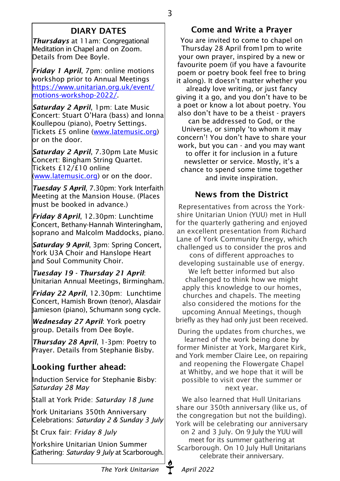## DIARY DATES

*Thursdays* at 11am: Congregational Meditation in Chapel and on Zoom. Details from Dee Boyle.

*Friday 1 April*, 7pm: online motions workshop prior to Annual Meetings [https://www.unitarian.org.uk/event/](https://www.unitarian.org.uk/event/motions-workshop-2022/) [motions-workshop-2022/.](https://www.unitarian.org.uk/event/motions-workshop-2022/)

*Saturday 2 April*, 1pm: Late Music Concert: Stuart O'Hara (bass) and Ionna Koullepou (piano), Poetry Settings. Tickets £5 online ([www.latemusic.org\)](www.latemusic.org) or on the door.

*Saturday 2 April*, 7.30pm Late Music Concert: Bingham String Quartet. Tickets £12/£10 online [\(www.latemusic.org\)](www.latemusic.org) or on the door.

*Tuesday 5 April*, 7.30pm: York Interfaith Meeting at the Mansion House. (Places must be booked in advance.)

*Friday 8 April*, 12.30pm: Lunchtime Concert, Bethany-Hannah Winteringham, soprano and Malcolm Maddocks, piano.

*Saturday 9 April*, 3pm: Spring Concert, York U3A Choir and Hanslope Heart and Soul Community Choir.

*Tuesday 19 - Thursday 21 April*: Unitarian Annual Meetings, Birmingham.

*Friday 22 April*, 12.30pm: Lunchtime Concert, Hamish Brown (tenor), Alasdair Jamieson (piano), Schumann song cycle.

*Wednesday 27 April*: York poetry group. Details from Dee Boyle.

*Thursday 28 April*, 1-3pm: Poetry to Prayer. Details from Stephanie Bisby.

## Looking further ahead:

Induction Service for Stephanie Bisby: *Saturday 28 May*

Stall at York Pride: *Saturday 18 June*

York Unitarians 350th Anniversary Celebrations: *Saturday 2 & Sunday 3 July*

St Crux fair: *Friday 8 July*

Yorkshire Unitarian Union Summer Gathering: *Saturday 9 July* at Scarborough.

You are invited to come to chapel on Thursday 28 April from1pm to write your own prayer, inspired by a new or favourite poem (if you have a favourite poem or poetry book feel free to bring it along). It doesn't matter whether you already love writing, or just fancy giving it a go, and you don't have to be a poet or know a lot about poetry. You also don't have to be a theist - prayers can be addressed to God, or the Universe, or simply 'to whom it may concern'! You don't have to share your work, but you can - and you may want to offer it for inclusion in a future newsletter or service. Mostly, it's a chance to spend some time together and invite inspiration.

## News from the District

Representatives from across the Yorkshire Unitarian Union (YUU) met in Hull for the quarterly gathering and enjoyed an excellent presentation from Richard Lane of York Community Energy, which challenged us to consider the pros and cons of different approaches to developing sustainable use of energy. We left better informed but also challenged to think how we might apply this knowledge to our homes, churches and chapels. The meeting also considered the motions for the upcoming Annual Meetings, though briefly as they had only just been received.

During the updates from churches, we learned of the work being done by former Minister at York, Margaret Kirk, and York member Claire Lee, on repairing and reopening the Flowergate Chapel at Whitby, and we hope that it will be possible to visit over the summer or next year.

We also learned that Hull Unitarians share our 350th anniversary (like us, of the congregation but not the building). York will be celebrating our anniversary on 2 and 3 July. On 9 July the YUU will meet for its summer gathering at Scarborough. On 10 July Hull Unitarians celebrate their anniversary.

Come and Write a Prayer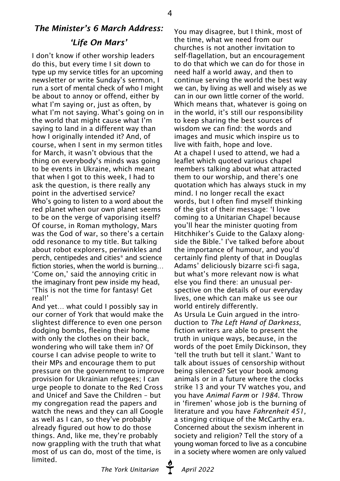## *The Minister's 6 March Address: 'Life On Mars'*

4

I don't know if other worship leaders do this, but every time I sit down to type up my service titles for an upcoming newsletter or write Sunday's sermon, I run a sort of mental check of who I might be about to annoy or offend, either by what I'm saying or, just as often, by what I'm not saying. What's going on in the world that might cause what I'm saying to land in a different way than how I originally intended it? And, of course, when I sent in my sermon titles for March, it wasn't obvious that the thing on everybody's minds was going to be events in Ukraine, which meant that when I got to this week, I had to ask the question, is there really any point in the advertised service? Who's going to listen to a word about the red planet when our own planet seems to be on the verge of vaporising itself? Of course, in Roman mythology, Mars was the God of war, so there's a certain odd resonance to my title. But talking about robot explorers, periwinkles and perch, centipedes and cities\* and science fiction stories, when the world is burning… 'Come on,' said the annoying critic in the imaginary front pew inside my head, 'This is not the time for fantasy! Get real!'

And yet… what could I possibly say in our corner of York that would make the slightest difference to even one person dodging bombs, fleeing their home with only the clothes on their back, wondering who will take them in? Of course I can advise people to write to their MPs and encourage them to put pressure on the government to improve provision for Ukrainian refugees; I can urge people to donate to the Red Cross and Unicef and Save the Children – but my congregation read the papers and watch the news and they can all Google as well as I can, so they've probably already figured out how to do those things. And, like me, they're probably now grappling with the truth that what most of us can do, most of the time, is limited.

You may disagree, but I think, most of the time, what we need from our churches is not another invitation to self-flagellation, but an encouragement to do that which we can do for those in need half a world away, and then to continue serving the world the best way we can, by living as well and wisely as we can in our own little corner of the world. Which means that, whatever is going on in the world, it's still our responsibility to keep sharing the best sources of wisdom we can find: the words and images and music which inspire us to live with faith, hope and love. At a chapel I used to attend, we had a leaflet which quoted various chapel members talking about what attracted them to our worship, and there's one quotation which has always stuck in my mind. I no longer recall the exact words, but I often find myself thinking of the gist of their message: 'I love coming to a Unitarian Chapel because you'll hear the minister quoting from Hitchhiker's Guide to the Galaxy alongside the Bible.' I've talked before about the importance of humour, and you'd certainly find plenty of that in Douglas Adams' deliciously bizarre sci-fi saga, but what's more relevant now is what else you find there: an unusual perspective on the details of our everyday lives, one which can make us see our world entirely differently. As Ursula Le Guin argued in the intro-

duction to *The Left Hand of Darkness*, fiction writers are able to present the truth in unique ways, because, in the words of the poet Emily Dickinson, they 'tell the truth but tell it slant.' Want to talk about issues of censorship without being silenced? Set your book among animals or in a future where the clocks strike 13 and your TV watches you, and you have *Animal Farm* or *1984*. Throw in 'firemen' whose job is the burning of literature and you have *Fahrenheit 451,* a stinging critique of the McCarthy era. Concerned about the sexism inherent in society and religion? Tell the story of a young woman forced to live as a concubine in a society where women are only valued

The York Unitarian **T** April 2022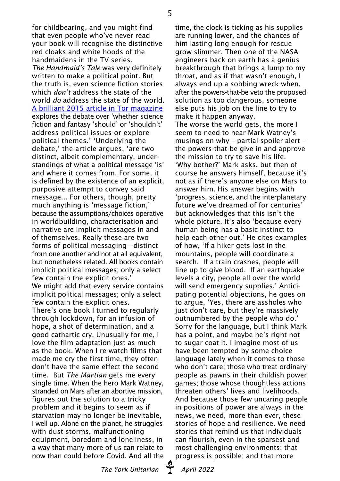for childbearing, and you might find that even people who've never read your book will recognise the distinctive red cloaks and white hoods of the handmaidens in the TV series. *The Handmaid's Tale* was very definitely written to make a political point. But the truth is, even science fiction stories which *don't* address the state of the world *do* address the state of the world. [A brilliant 2015 article in Tor magazine](https://www.tor.com/2015/04/27/message-fiction-politics-in-sci-fi-and-fantasy-literature/) explores the debate over 'whether science fiction and fantasy 'should' or 'shouldn't' address political issues or explore political themes.' 'Underlying the debate,' the article argues, 'are two distinct, albeit complementary, understandings of what a political message 'is' and where it comes from. For some, it is defined by the existence of an explicit, purposive attempt to convey said message... For others, though, pretty much anything is 'message fiction,' because the assumptions/choices operative in worldbuilding, characterisation and narrative are implicit messages in and of themselves. Really these are two forms of political messaging—distinct from one another and not at all equivalent. but nonetheless related. All books contain implicit political messages; only a select few contain the explicit ones.' We might add that every service contains implicit political messages; only a select few contain the explicit ones. There's one book I turned to regularly through lockdown, for an infusion of hope, a shot of determination, and a good cathartic cry. Unusually for me, I love the film adaptation just as much as the book. When I re-watch films that made me cry the first time, they often don't have the same effect the second time. But *The Martian* gets me every single time. When the hero Mark Watney, stranded on Mars after an abortive mission, figures out the solution to a tricky problem and it begins to seem as if starvation may no longer be inevitable, I well up. Alone on the planet, he struggles with dust storms, malfunctioning equipment, boredom and loneliness, in a way that many more of us can relate to now than could before Covid. And all the

time, the clock is ticking as his supplies are running lower, and the chances of him lasting long enough for rescue grow slimmer. Then one of the NASA engineers back on earth has a genius breakthrough that brings a lump to my throat, and as if that wasn't enough, I always end up a sobbing wreck when, after the powers-that-be veto the proposed solution as too dangerous, someone else puts his job on the line to try to make it happen anyway. The worse the world gets, the more I seem to need to hear Mark Watney's musings on why – partial spoiler alert – the powers-that-be give in and approve the mission to try to save his life. 'Why bother?' Mark asks, but then of course he answers himself, because it's not as if there's anyone else on Mars to answer him. His answer begins with 'progress, science, and the interplanetary future we've dreamed of for centuries' but acknowledges that this isn't the whole picture. It's also 'because every human being has a basic instinct to help each other out.' He cites examples of how, 'If a hiker gets lost in the mountains, people will coordinate a search. If a train crashes, people will line up to give blood. If an earthquake levels a city, people all over the world will send emergency supplies.' Anticipating potential objections, he goes on to argue, 'Yes, there are assholes who just don't care, but they're massively outnumbered by the people who do.' Sorry for the language, but I think Mark has a point, and maybe he's right not to sugar coat it. I imagine most of us have been tempted by some choice language lately when it comes to those who don't care; those who treat ordinary people as pawns in their childish power games; those whose thoughtless actions threaten others' lives and livelihoods. And because those few uncaring people in positions of power are always in the news, we need, more than ever, these stories of hope and resilience. We need stories that remind us that individuals can flourish, even in the sparsest and most challenging environments; that progress is possible; and that more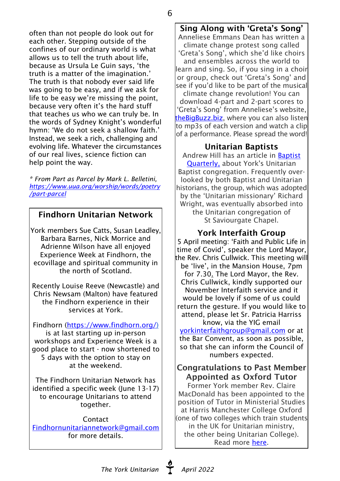often than not people do look out for each other. Stepping outside of the confines of our ordinary world is what allows us to tell the truth about life, because as Ursula Le Guin says, 'the truth is a matter of the imagination.' The truth is that nobody ever said life was going to be easy, and if we ask for life to be easy we're missing the point, because very often it's the hard stuff that teaches us who we can truly be. In the words of Sydney Knight's wonderful hymn: 'We do not seek a shallow faith.' Instead, we seek a rich, challenging and evolving life. Whatever the circumstances of our real lives, science fiction can help point the way.

*\* From Part as Parcel by Mark L. Belletini, [https://www.uua.org/worship/words/poetry](https://www.uua.org/worship/words/poetry/part-parcel) [/part-parcel](https://www.uua.org/worship/words/poetry/part-parcel)*

#### Findhorn Unitarian Network

York members Sue Catts, Susan Leadley, Barbara Barnes, Nick Morrice and Adrienne Wilson have all enjoyed Experience Week at Findhorn, the ecovillage and spiritual community in the north of Scotland.

Recently Louise Reeve (Newcastle) and Chris Newsam (Malton) have featured the Findhorn experience in their services at York.

Findhorn [\(https://www.findhorn.org/\)](https://www.findhorn.org/) is at last starting up in-person workshops and Experience Week is a good place to start - now shortened to 5 days with the option to stay on at the weekend.

The Findhorn Unitarian Network has identified a specific week (June 13-17) to encourage Unitarians to attend together.

**Contact** [Findhornunitariannetwork@gmail.com](mailto:Findhornunitariannetwork@gmail.com) for more details.

Sing Along with 'Greta's Song'

6

Anneliese Emmans Dean has written a climate change protest song called 'Greta's Song', which she'd like choirs and ensembles across the world to learn and sing. So, if you sing in a choir or group, check out 'Greta's Song' and see if you'd like to be part of the musical climate change revolution! You can download 4-part and 2-part scores to 'Greta's Song' from Anneliese's website, [theBigBuzz.biz](https://thebigbuzz.wordpress.com/2022/03/16/sing-along-with-gretas-song/), where you can also listen to mp3s of each version and watch a clip of a performance. Please spread the word!

#### Unitarian Baptists

Andrew Hill has an article in [Baptist](https://www.tandfonline.com/doi/full/10.1080/0005576X.2021.1966198) [Quarterly,](https://www.tandfonline.com/doi/full/10.1080/0005576X.2021.1966198) about York's Unitarian Baptist congregation. Frequently overlooked by both Baptist and Unitarian historians, the group, which was adopted by the 'Unitarian missionary' Richard Wright, was eventually absorbed into the Unitarian congregation of St Saviourgate Chapel.

#### York Interfaith Group

5 April meeting: 'Faith and Public Life in time of Covid', speaker the Lord Mayor, the Rev. Chris Cullwick. This meeting will be 'live', in the Mansion House, 7pm for 7.30. The Lord Mayor, the Rev. Chris Cullwick, kindly supported our November Interfaith service and it would be lovely if some of us could return the gesture. If you would like to attend, please let Sr. Patricia Harriss know, via the YIG email

[yorkinterfaithgroup@gmail.com](mailto:yorkinterfaithgroup@gmail.com) or at the Bar Convent, as soon as possible, so that she can inform the Council of numbers expected.

#### Congratulations to Past Member Appointed as Oxford Tutor

Former York member Rev. Claire MacDonald has been appointed to the position of Tutor in Ministerial Studies at Harris Manchester College Oxford (one of two colleges which train students in the UK for Unitarian ministry, the other being Unitarian College). Read more [here](https://www.unitarian.org.uk/2022/03/11/new-ministry-tutor-appointed-at-harris-manchester-college-oxford/ ).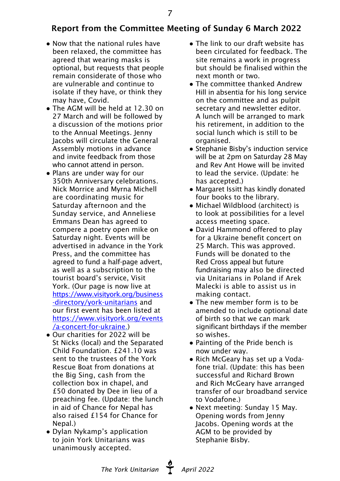## Report from the Committee Meeting of Sunday 6 March 2022

- Now that the national rules have been relaxed, the committee has agreed that wearing masks is optional, but requests that people remain considerate of those who are vulnerable and continue to isolate if they have, or think they may have, Covid.
- The AGM will be held at 12.30 on 27 March and will be followed by a discussion of the motions prior to the Annual Meetings. Jenny Jacobs will circulate the General Assembly motions in advance and invite feedback from those who cannot attend in person.
- Plans are under way for our 350th Anniversary celebrations. Nick Morrice and Myrna Michell are coordinating music for Saturday afternoon and the Sunday service, and Anneliese Emmans Dean has agreed to compere a poetry open mike on Saturday night. Events will be advertised in advance in the York Press, and the committee has agreed to fund a half-page advert, as well as a subscription to the tourist board's service, Visit York. (Our page is now live at [https://www.visityork.org/business](https://www.visityork.org/business-directory/york-unitarians) [-directory/york-unitarians](https://www.visityork.org/business-directory/york-unitarians) and our first event has been listed at [https://www.visityork.org/events](https://www.visityork.org/events/a-concert-for-ukraine) [/a-concert-for-ukraine.](https://www.visityork.org/events/a-concert-for-ukraine))
- Our charities for 2022 will be St Nicks (local) and the Separated Child Foundation. £241.10 was sent to the trustees of the York Rescue Boat from donations at the Big Sing, cash from the collection box in chapel, and £50 donated by Dee in lieu of a preaching fee. (Update: the lunch in aid of Chance for Nepal has also raised £154 for Chance for Nepal.)
- Dylan Nykamp's application to join York Unitarians was unanimously accepted.
- The link to our draft website has been circulated for feedback. The site remains a work in progress but should be finalised within the next month or two.
- The committee thanked Andrew Hill in absentia for his long service on the committee and as pulpit secretary and newsletter editor. A lunch will be arranged to mark his retirement, in addition to the social lunch which is still to be organised.
- Stephanie Bisby's induction service will be at 2pm on Saturday 28 May and Rev Ant Howe will be invited to lead the service. (Update: he has accepted.)
- Margaret Issitt has kindly donated four books to the library.
- Michael Wildblood (architect) is to look at possibilities for a level access meeting space.
- David Hammond offered to play for a Ukraine benefit concert on 25 March. This was approved. Funds will be donated to the Red Cross appeal but future fundraising may also be directed via Unitarians in Poland if Arek Malecki is able to assist us in making contact.
- The new member form is to be amended to include optional date of birth so that we can mark significant birthdays if the member so wishes.
- Painting of the Pride bench is now under way.
- Rich McGeary has set up a Vodafone trial. (Update: this has been successful and Richard Brown and Rich McGeary have arranged transfer of our broadband service to Vodafone.)
- Next meeting: Sunday 15 May. Opening words from Jenny Jacobs. Opening words at the AGM to be provided by Stephanie Bisby.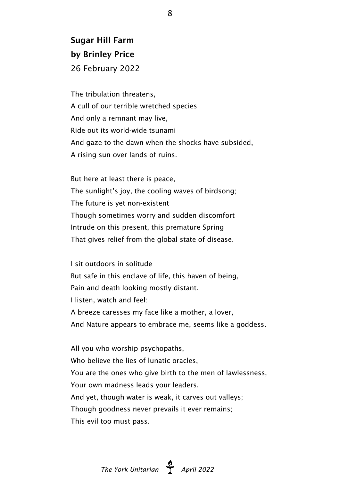## Sugar Hill Farm by Brinley Price 26 February 2022

The tribulation threatens, A cull of our terrible wretched species And only a remnant may live, Ride out its world-wide tsunami And gaze to the dawn when the shocks have subsided, A rising sun over lands of ruins.

But here at least there is peace, The sunlight's joy, the cooling waves of birdsong; The future is yet non-existent Though sometimes worry and sudden discomfort Intrude on this present, this premature Spring That gives relief from the global state of disease.

I sit outdoors in solitude But safe in this enclave of life, this haven of being, Pain and death looking mostly distant. I listen, watch and feel: A breeze caresses my face like a mother, a lover, And Nature appears to embrace me, seems like a goddess.

All you who worship psychopaths, Who believe the lies of lunatic oracles, You are the ones who give birth to the men of lawlessness, Your own madness leads your leaders. And yet, though water is weak, it carves out valleys; Though goodness never prevails it ever remains; This evil too must pass.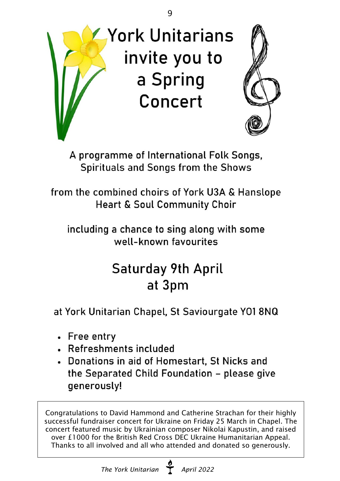

A programme of International Folk Songs, Spirituals and Songs from the Shows

from the combined choirs of York U3A & Hanslope **Heart & Soul Community Choir** 

including a chance to sing along with some well-known favourites

## **Saturday 9th April** at 3pm

at York Unitarian Chapel, St Saviourgate Y01 8NQ

- Free entry
- Refreshments included
- Donations in aid of Homestart, St Nicks and the Separated Child Foundation - please give generously!

Congratulations to David Hammond and Catherine Strachan for their highly successful fundraiser concert for Ukraine on Friday 25 March in Chapel. The concert featured music by Ukrainian composer Nikolai Kapustin, and raised over £1000 for the British Red Cross DEC Ukraine Humanitarian Appeal. Thanks to all involved and all who attended and donated so generously.